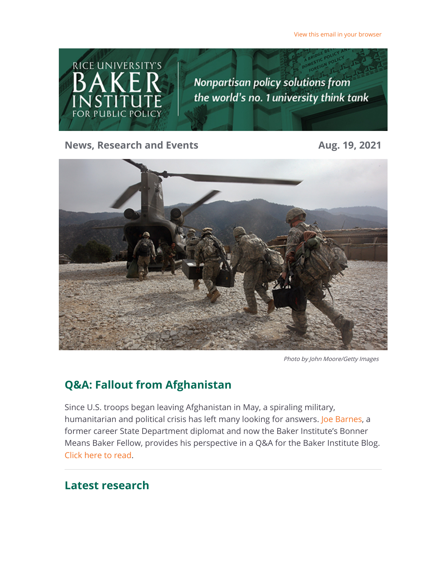[View this email in your browser](https://riceconnect.rice.edu/emailviewonwebpage.aspx?erid=7c5ae58d-091b-4b96-99f6-031dd68ea49e&trid=7c5ae58d-091b-4b96-99f6-031dd68ea49e)



**News, Research and Events Aug. 19, 2021** 



Photo by John Moore/Getty Images

# **Q&A: Fallout from Afghanistan**

Since U.S. troops began leaving Afghanistan in May, a spiraling military, humanitarian and political crisis has left many looking for answers. [Joe Barnes](https://riceconnect.rice.edu/page.redir?target=https%3a%2f%2fwww.bakerinstitute.org%2fexperts%2fjoe-barnes%2f&srcid=245652&srctid=1&erid=7c5ae58d-091b-4b96-99f6-031dd68ea49e&trid=7c5ae58d-091b-4b96-99f6-031dd68ea49e), a former career State Department diplomat and now the Baker Institute's Bonner Means Baker Fellow, provides his perspective in a Q&A for the Baker Institute Blog. [Click here to read](https://riceconnect.rice.edu/page.redir?target=http%3a%2f%2fblog.bakerinstitute.org%2f2021%2f08%2f18%2fqa-fallout-from-afghanistan%2f&srcid=245652&srctid=1&erid=7c5ae58d-091b-4b96-99f6-031dd68ea49e&trid=7c5ae58d-091b-4b96-99f6-031dd68ea49e).

### **Latest research**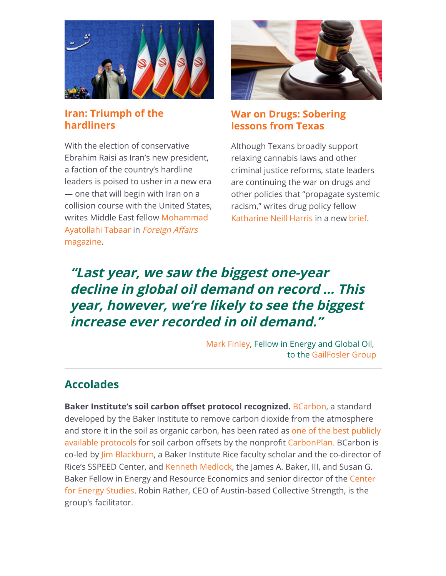

### **[Iran: Triumph of the](https://riceconnect.rice.edu/page.redir?target=https%3a%2f%2fwww.foreignaffairs.com%2farticles%2firan%2f2021-08-05%2firans-war-within-ebrahim-raisi&srcid=245652&srctid=1&erid=7c5ae58d-091b-4b96-99f6-031dd68ea49e&trid=7c5ae58d-091b-4b96-99f6-031dd68ea49e) hardliners**

With the election of conservative Ebrahim Raisi as Iran's new president, a faction of the country's hardline leaders is poised to usher in a new era — one that will begin with Iran on a collision course with the United States, [writes Middle East fellow Mohammad](https://riceconnect.rice.edu/page.redir?target=https%3a%2f%2fwww.bakerinstitute.org%2fexperts%2fmohammad-ayatollahi-tabaar%2f&srcid=245652&srctid=1&erid=7c5ae58d-091b-4b96-99f6-031dd68ea49e&trid=7c5ae58d-091b-4b96-99f6-031dd68ea49e) [Ayatollahi Tabaar in](https://riceconnect.rice.edu/page.redir?target=https%3a%2f%2fwww.bakerinstitute.org%2fresearch%2firans-war-within%2f&srcid=245652&srctid=1&erid=7c5ae58d-091b-4b96-99f6-031dd68ea49e&trid=7c5ae58d-091b-4b96-99f6-031dd68ea49e) Foreign Affairs magazine.



### **[War on Drugs: Sobering](https://riceconnect.rice.edu/page.redir?target=https%3a%2f%2fwww.bakerinstitute.org%2ffiles%2f17650%2f&srcid=245652&srctid=1&erid=7c5ae58d-091b-4b96-99f6-031dd68ea49e&trid=7c5ae58d-091b-4b96-99f6-031dd68ea49e) lessons from Texas**

Although Texans broadly support relaxing cannabis laws and other criminal justice reforms, state leaders are continuing the war on drugs and other policies that "propagate systemic racism," writes drug policy fellow [Katharine Neill Harris](https://riceconnect.rice.edu/page.redir?target=https%3a%2f%2fwww.bakerinstitute.org%2fexperts%2fkatharine-neill%2f&srcid=245652&srctid=1&erid=7c5ae58d-091b-4b96-99f6-031dd68ea49e&trid=7c5ae58d-091b-4b96-99f6-031dd68ea49e) in a new [brief.](https://riceconnect.rice.edu/page.redir?target=https%3a%2f%2fwww.bakerinstitute.org%2ffiles%2f17650%2f&srcid=245652&srctid=1&erid=7c5ae58d-091b-4b96-99f6-031dd68ea49e&trid=7c5ae58d-091b-4b96-99f6-031dd68ea49e)

# **"Last year, we saw the biggest one-year decline in global oil demand on record … This year, however, we're likely to see the biggest increase ever recorded in oil demand."**

[Mark Finley](https://riceconnect.rice.edu/page.redir?target=https%3a%2f%2fwww.bakerinstitute.org%2fexperts%2fmark-finley%2f&srcid=245652&srctid=1&erid=7c5ae58d-091b-4b96-99f6-031dd68ea49e&trid=7c5ae58d-091b-4b96-99f6-031dd68ea49e), Fellow in Energy and Global Oil, to the [GailFosler Group](https://riceconnect.rice.edu/page.redir?target=https%3a%2f%2fwww.gailfosler.com%2fthe-search-for-peak-oil-and-a-lower-carbon-future&srcid=245652&srctid=1&erid=7c5ae58d-091b-4b96-99f6-031dd68ea49e&trid=7c5ae58d-091b-4b96-99f6-031dd68ea49e)

### **Accolades**

**Baker Institute's soil carbon offset protocol recognized. [BCarbon](https://riceconnect.rice.edu/page.redir?target=https%3a%2f%2fbcarbon.org%2f&srcid=245652&srctid=1&erid=7c5ae58d-091b-4b96-99f6-031dd68ea49e&trid=7c5ae58d-091b-4b96-99f6-031dd68ea49e)**, a standard developed by the Baker Institute to remove carbon dioxide from the atmosphere [and store it in the soil as organic carbon, has been rated as one of the best publicly](https://riceconnect.rice.edu/page.redir?target=https%3a%2f%2fcarbonplan.org%2fresearch%2fsoil-protocols&srcid=245652&srctid=1&erid=7c5ae58d-091b-4b96-99f6-031dd68ea49e&trid=7c5ae58d-091b-4b96-99f6-031dd68ea49e) available protocols for soil carbon offsets by the nonprofit [CarbonPlan. B](https://riceconnect.rice.edu/page.redir?target=https%3a%2f%2fcarbonplan.org%2fresearch%2fsoil-protocols-explainer&srcid=245652&srctid=1&erid=7c5ae58d-091b-4b96-99f6-031dd68ea49e&trid=7c5ae58d-091b-4b96-99f6-031dd68ea49e)Carbon is co-led b[y Jim Blackburn](https://riceconnect.rice.edu/page.redir?target=https%3a%2f%2fwww.bakerinstitute.org%2fexperts%2fjim-blackburn%2f&srcid=245652&srctid=1&erid=7c5ae58d-091b-4b96-99f6-031dd68ea49e&trid=7c5ae58d-091b-4b96-99f6-031dd68ea49e), a Baker Institute Rice faculty scholar and the co-director of Rice's SSPEED Center, and [Kenneth Medlock,](https://riceconnect.rice.edu/page.redir?target=https%3a%2f%2fwww.bakerinstitute.org%2fexperts%2fkenneth-b-medlock-iii%2f&srcid=245652&srctid=1&erid=7c5ae58d-091b-4b96-99f6-031dd68ea49e&trid=7c5ae58d-091b-4b96-99f6-031dd68ea49e) the James A. Baker, III, and Susan G. [Baker Fellow in Energy and Resource Economics and senior director of the Center](https://riceconnect.rice.edu/page.redir?target=https%3a%2f%2fwww.bakerinstitute.org%2fcenter-for-energy-studies%2f&srcid=245652&srctid=1&erid=7c5ae58d-091b-4b96-99f6-031dd68ea49e&trid=7c5ae58d-091b-4b96-99f6-031dd68ea49e) for Energy Studies. Robin Rather, CEO of Austin-based Collective Strength, is the group's facilitator.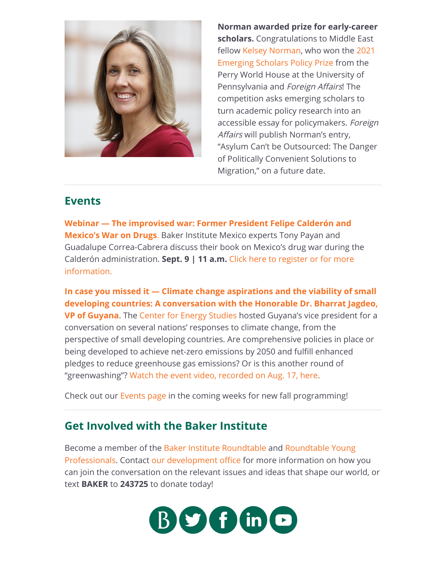

**Norman awarded prize for early-career scholars.** Congratulations to Middle East [fellow K](https://riceconnect.rice.edu/page.redir?target=https%3a%2f%2fglobal.upenn.edu%2fperryworldhouse%2fnews%2fperry-world-house-and-foreign-affairs-announce-winners-2021-emerging-scholars&srcid=245652&srctid=1&erid=7c5ae58d-091b-4b96-99f6-031dd68ea49e&trid=7c5ae58d-091b-4b96-99f6-031dd68ea49e)[elsey Norma](https://riceconnect.rice.edu/page.redir?target=https%3a%2f%2fwww.bakerinstitute.org%2fexperts%2fkelsey-norman%2f&srcid=245652&srctid=1&erid=7c5ae58d-091b-4b96-99f6-031dd68ea49e&trid=7c5ae58d-091b-4b96-99f6-031dd68ea49e)[n, who won the 2021](https://riceconnect.rice.edu/page.redir?target=https%3a%2f%2fglobal.upenn.edu%2fperryworldhouse%2fnews%2fperry-world-house-and-foreign-affairs-announce-winners-2021-emerging-scholars&srcid=245652&srctid=1&erid=7c5ae58d-091b-4b96-99f6-031dd68ea49e&trid=7c5ae58d-091b-4b96-99f6-031dd68ea49e) Emerging Scholars Policy Prize from the Perry World House at the University of Pennsylvania and Foreign Affairs! The competition asks emerging scholars to turn academic policy research into an accessible essay for policymakers. Foreign Affairs will publish Norman's entry, "Asylum Can't be Outsourced: The Danger of Politically Convenient Solutions to Migration," on a future date.

### **Events**

**[Webinar — The improvised war: Former President Felipe Calderón and](https://riceconnect.rice.edu/page.redir?target=https%3a%2f%2fwww.bakerinstitute.org%2fevents%2f2245%2f&srcid=245652&srctid=1&erid=7c5ae58d-091b-4b96-99f6-031dd68ea49e&trid=7c5ae58d-091b-4b96-99f6-031dd68ea49e) Mexico's War on Drugs**. Baker Institute Mexico experts Tony Payan and Guadalupe Correa-Cabrera discuss their book on Mexico's drug war during the Calderón administration. **Sept. 9 | 11 a.m.** [Click here to register or for more](https://riceconnect.rice.edu/page.redir?target=https%3a%2f%2fwww.bakerinstitute.org%2fevents%2f2245%2f&srcid=245652&srctid=1&erid=7c5ae58d-091b-4b96-99f6-031dd68ea49e&trid=7c5ae58d-091b-4b96-99f6-031dd68ea49e) information.

**In case you missed it — Climate change aspirations and the viability of small [developing countries: A conversation with the Honorable Dr. Bharrat Jagdeo,](https://riceconnect.rice.edu/page.redir?target=https%3a%2f%2fwww.bakerinstitute.org%2fevents%2f2248%2f&srcid=245652&srctid=1&erid=7c5ae58d-091b-4b96-99f6-031dd68ea49e&trid=7c5ae58d-091b-4b96-99f6-031dd68ea49e) VP of Guyana**. The [Center for Energy Studies](https://riceconnect.rice.edu/page.redir?target=https%3a%2f%2fwww.bakerinstitute.org%2fcenter-for-energy-studies%2f&srcid=245652&srctid=1&erid=7c5ae58d-091b-4b96-99f6-031dd68ea49e&trid=7c5ae58d-091b-4b96-99f6-031dd68ea49e) hosted Guyana's vice president for a conversation on several nations' responses to climate change, from the perspective of small developing countries. Are comprehensive policies in place or being developed to achieve net-zero emissions by 2050 and fulfill enhanced pledges to reduce greenhouse gas emissions? Or is this another round of "greenwashing"? [Watch the event video, recorded on Aug. 17, here](https://riceconnect.rice.edu/page.redir?target=https%3a%2f%2fwww.bakerinstitute.org%2fevents%2f2248%2f&srcid=245652&srctid=1&erid=7c5ae58d-091b-4b96-99f6-031dd68ea49e&trid=7c5ae58d-091b-4b96-99f6-031dd68ea49e).

Check out our [Events page](https://riceconnect.rice.edu/page.redir?target=https%3a%2f%2fwww.bakerinstitute.org%2fevents%2fsearch%2f&srcid=245652&srctid=1&erid=7c5ae58d-091b-4b96-99f6-031dd68ea49e&trid=7c5ae58d-091b-4b96-99f6-031dd68ea49e) in the coming weeks for new fall programming!

## **Get Involved with the Baker Institute**

[Become a member of the](https://riceconnect.rice.edu/page.redir?target=http%3a%2f%2fwww.bakerinstitute.org%2froundtable-young-professionals%2f&srcid=245652&srctid=1&erid=7c5ae58d-091b-4b96-99f6-031dd68ea49e&trid=7c5ae58d-091b-4b96-99f6-031dd68ea49e) [Baker Institute Roundtable](https://riceconnect.rice.edu/page.redir?target=http%3a%2f%2fwww.bakerinstitute.org%2fjoin-the-baker-roundtable%2f&srcid=245652&srctid=1&erid=7c5ae58d-091b-4b96-99f6-031dd68ea49e&trid=7c5ae58d-091b-4b96-99f6-031dd68ea49e) [and Roundtable Young](https://riceconnect.rice.edu/page.redir?target=http%3a%2f%2fwww.bakerinstitute.org%2froundtable-young-professionals%2f&srcid=245652&srctid=1&erid=7c5ae58d-091b-4b96-99f6-031dd68ea49e&trid=7c5ae58d-091b-4b96-99f6-031dd68ea49e) Professionals. Contact [our development office](mailto:roundtable@rice.edu) for more information on how you can join the conversation on the relevant issues and ideas that shape our world, or text **BAKER** to **243725** to donate today!